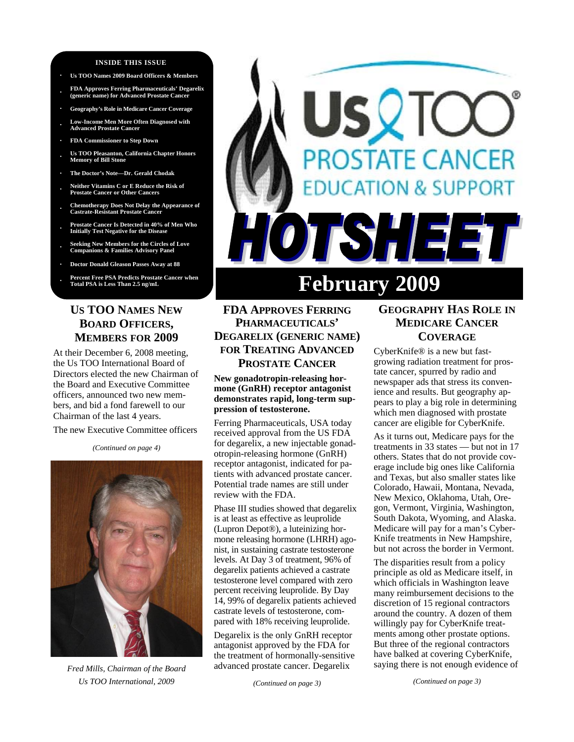#### **INSIDE THIS ISSUE**

- **· Us TOO Names 2009 Board Officers & Members**
- **· FDA Approves Ferring Pharmaceuticals' Degarelix (generic name) for Advanced Prostate Cancer**
- **· Geography's Role in Medicare Cancer Coverage · Low-Income Men More Often Diagnosed with**
- **Advanced Prostate Cancer**
- **· FDA Commissioner to Step Down**
- **· Us TOO Pleasanton, California Chapter Honors Memory of Bill Stone**
- **· The Doctor's Note—Dr. Gerald Chodak**
- **· Neither Vitamins C or E Reduce the Risk of Prostate Cancer or Other Cancers**
- **· Chemotherapy Does Not Delay the Appearance of Castrate-Resistant Prostate Cancer**
- **· Prostate Cancer Is Detected in 40% of Men Who Initially Test Negative for the Disease**
- **· Seeking New Members for the Circles of Love Companions & Families Advisory Panel**
- **· Doctor Donald Gleason Passes Away at 88**
- **· Percent Free PSA Predicts Prostate Cancer when Total PSA is Less Than 2.5 ng/mL**

## **US TOO NAMES NEW BOARD OFFICERS, MEMBERS FOR 2009**

At their December 6, 2008 meeting, the Us TOO International Board of Directors elected the new Chairman of the Board and Executive Committee officers, announced two new members, and bid a fond farewell to our Chairman of the last 4 years.

The new Executive Committee officers

*(Continued on page 4)* 



*Fred Mills, Chairman of the Board Us TOO International, 2009* 

# SQIC **PROSTATE CANCER DUCATION & SUPPORT TISHEET February 2009**

## **FDA APPROVES FERRING PHARMACEUTICALS' DEGARELIX (GENERIC NAME) FOR TREATING ADVANCED PROSTATE CANCER**

**New gonadotropin-releasing hormone (GnRH) receptor antagonist demonstrates rapid, long-term suppression of testosterone.** 

Ferring Pharmaceuticals, USA today received approval from the US FDA for degarelix, a new injectable gonadotropin-releasing hormone (GnRH) receptor antagonist, indicated for patients with advanced prostate cancer. Potential trade names are still under review with the FDA.

Phase III studies showed that degarelix is at least as effective as leuprolide (Lupron Depot®), a luteinizing hormone releasing hormone (LHRH) agonist, in sustaining castrate testosterone levels. At Day 3 of treatment, 96% of degarelix patients achieved a castrate testosterone level compared with zero percent receiving leuprolide. By Day 14, 99% of degarelix patients achieved castrate levels of testosterone, compared with 18% receiving leuprolide.

Degarelix is the only GnRH receptor antagonist approved by the FDA for the treatment of hormonally-sensitive advanced prostate cancer. Degarelix

*(Continued on page 3)* 

## **GEOGRAPHY HAS ROLE IN MEDICARE CANCER COVERAGE**

CyberKnife® is a new but fastgrowing radiation treatment for prostate cancer, spurred by radio and newspaper ads that stress its convenience and results. But geography appears to play a big role in determining which men diagnosed with prostate cancer are eligible for CyberKnife.

As it turns out, Medicare pays for the treatments in 33 states — but not in 17 others. States that do not provide coverage include big ones like California and Texas, but also smaller states like Colorado, Hawaii, Montana, Nevada, New Mexico, Oklahoma, Utah, Oregon, Vermont, Virginia, Washington, South Dakota, Wyoming, and Alaska. Medicare will pay for a man's Cyber-Knife treatments in New Hampshire, but not across the border in Vermont.

The disparities result from a policy principle as old as Medicare itself, in which officials in Washington leave many reimbursement decisions to the discretion of 15 regional contractors around the country. A dozen of them willingly pay for CyberKnife treatments among other prostate options. But three of the regional contractors have balked at covering CyberKnife, saying there is not enough evidence of

*(Continued on page 3)*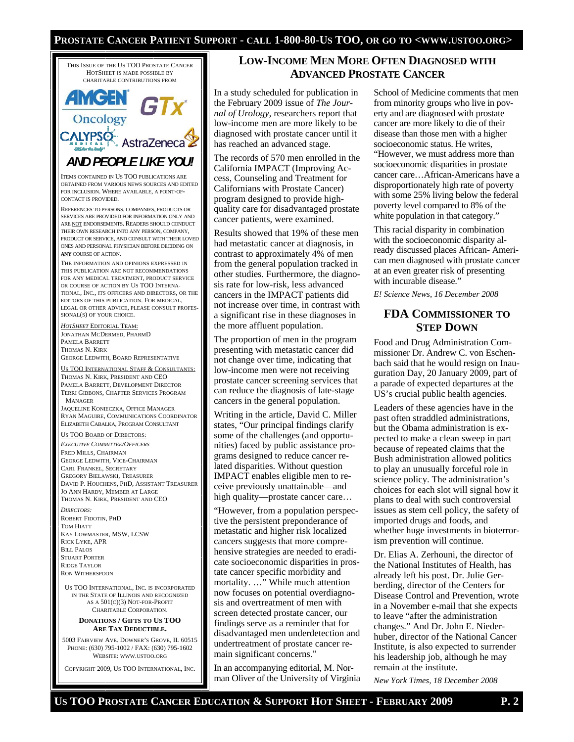#### **PROSTATE CANCER PATIENT SUPPORT - CALL 1-800-80-US TOO, OR GO TO <WWW.USTOO.ORG>**



5003 FAIRVIEW AVE. DOWNER'S GROVE, IL 60515 PHONE: (630) 795-1002 / FAX: (630) 795-1602 WEBSITE: WWW.USTOO.ORG

COPYRIGHT 2009, US TOO INTERNATIONAL, INC.

## **LOW-INCOME MEN MORE OFTEN DIAGNOSED WITH ADVANCED PROSTATE CANCER**

In a study scheduled for publication in the February 2009 issue of *The Journal of Urology*, researchers report that low-income men are more likely to be diagnosed with prostate cancer until it has reached an advanced stage.

The records of 570 men enrolled in the California IMPACT (Improving Access, Counseling and Treatment for Californians with Prostate Cancer) program designed to provide highquality care for disadvantaged prostate cancer patients, were examined.

Results showed that 19% of these men had metastatic cancer at diagnosis, in contrast to approximately 4% of men from the general population tracked in other studies. Furthermore, the diagnosis rate for low-risk, less advanced cancers in the IMPACT patients did not increase over time, in contrast with a significant rise in these diagnoses in the more affluent population.

The proportion of men in the program presenting with metastatic cancer did not change over time, indicating that low-income men were not receiving prostate cancer screening services that can reduce the diagnosis of late-stage cancers in the general population.

Writing in the article, David C. Miller states, "Our principal findings clarify some of the challenges (and opportunities) faced by public assistance programs designed to reduce cancer related disparities. Without question IMPACT enables eligible men to receive previously unattainable—and high quality—prostate cancer care...

"However, from a population perspective the persistent preponderance of metastatic and higher risk localized cancers suggests that more comprehensive strategies are needed to eradicate socioeconomic disparities in prostate cancer specific morbidity and mortality. …" While much attention now focuses on potential overdiagnosis and overtreatment of men with screen detected prostate cancer, our findings serve as a reminder that for disadvantaged men underdetection and undertreatment of prostate cancer remain significant concerns."

In an accompanying editorial, M. Norman Oliver of the University of Virginia

School of Medicine comments that men from minority groups who live in poverty and are diagnosed with prostate cancer are more likely to die of their disease than those men with a higher socioeconomic status. He writes, "However, we must address more than socioeconomic disparities in prostate cancer care…African-Americans have a disproportionately high rate of poverty with some 25% living below the federal poverty level compared to 8% of the white population in that category."

This racial disparity in combination with the socioeconomic disparity already discussed places African- American men diagnosed with prostate cancer at an even greater risk of presenting with incurable disease."

*E! Science News, 16 December 2008* 

## **FDA COMMISSIONER TO STEP DOWN**

Food and Drug Administration Commissioner Dr. Andrew C. von Eschenbach said that he would resign on Inauguration Day, 20 January 2009, part of a parade of expected departures at the US's crucial public health agencies.

Leaders of these agencies have in the past often straddled administrations, but the Obama administration is expected to make a clean sweep in part because of repeated claims that the Bush administration allowed politics to play an unusually forceful role in science policy. The administration's choices for each slot will signal how it plans to deal with such controversial issues as stem cell policy, the safety of imported drugs and foods, and whether huge investments in bioterrorism prevention will continue.

Dr. Elias A. Zerhouni, the director of the National Institutes of Health, has already left his post. Dr. Julie Gerberding, director of the Centers for Disease Control and Prevention, wrote in a November e-mail that she expects to leave "after the administration changes." And Dr. John E. Niederhuber, director of the National Cancer Institute, is also expected to surrender his leadership job, although he may remain at the institute.

*New York Times, 18 December 2008*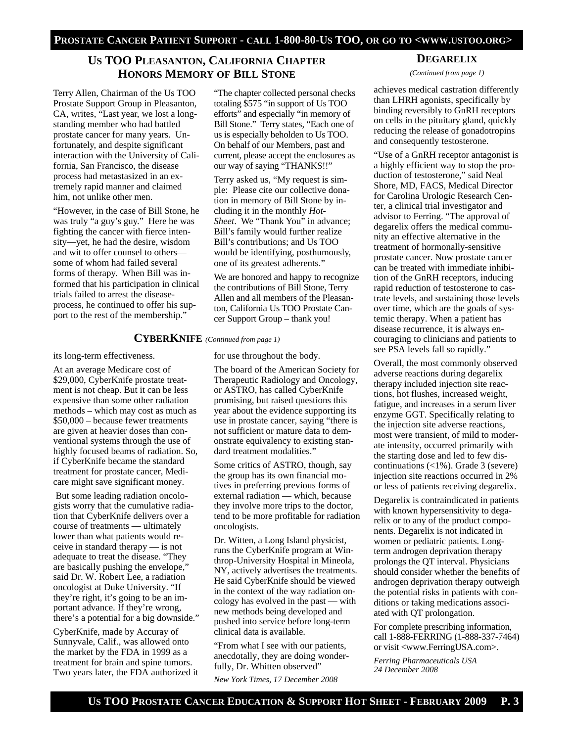## **US TOO PLEASANTON, CALIFORNIA CHAPTER HONORS MEMORY OF BILL STONE**

Terry Allen, Chairman of the Us TOO Prostate Support Group in Pleasanton, CA, writes, "Last year, we lost a longstanding member who had battled prostate cancer for many years. Unfortunately, and despite significant interaction with the University of California, San Francisco, the disease process had metastasized in an extremely rapid manner and claimed him, not unlike other men.

"However, in the case of Bill Stone, he was truly "a guy's guy." Here he was fighting the cancer with fierce intensity—yet, he had the desire, wisdom and wit to offer counsel to others some of whom had failed several forms of therapy. When Bill was informed that his participation in clinical trials failed to arrest the diseaseprocess, he continued to offer his support to the rest of the membership."

"The chapter collected personal checks totaling \$575 "in support of Us TOO efforts" and especially "in memory of Bill Stone." Terry states, "Each one of us is especially beholden to Us TOO. On behalf of our Members, past and current, please accept the enclosures as our way of saying "THANKS!!"

Terry asked us, "My request is simple: Please cite our collective donation in memory of Bill Stone by including it in the monthly *Hot-Sheet*. We "Thank You" in advance; Bill's family would further realize Bill's contributions; and Us TOO would be identifying, posthumously, one of its greatest adherents."

We are honored and happy to recognize the contributions of Bill Stone, Terry Allen and all members of the Pleasanton, California Us TOO Prostate Cancer Support Group – thank you!

#### **CYBERKNIFE** *(Continued from page 1)*

its long-term effectiveness.

At an average Medicare cost of \$29,000, CyberKnife prostate treatment is not cheap. But it can be less expensive than some other radiation methods – which may cost as much as \$50,000 – because fewer treatments are given at heavier doses than conventional systems through the use of highly focused beams of radiation. So, if CyberKnife became the standard treatment for prostate cancer, Medicare might save significant money.

 But some leading radiation oncologists worry that the cumulative radiation that CyberKnife delivers over a course of treatments — ultimately lower than what patients would receive in standard therapy — is not adequate to treat the disease. "They are basically pushing the envelope," said Dr. W. Robert Lee, a radiation oncologist at Duke University. "If they're right, it's going to be an important advance. If they're wrong, there's a potential for a big downside."

CyberKnife, made by Accuray of Sunnyvale, Calif., was allowed onto the market by the FDA in 1999 as a treatment for brain and spine tumors. Two years later, the FDA authorized it for use throughout the body.

The board of the American Society for Therapeutic Radiology and Oncology, or ASTRO, has called CyberKnife promising, but raised questions this year about the evidence supporting its use in prostate cancer, saying "there is not sufficient or mature data to demonstrate equivalency to existing standard treatment modalities."

Some critics of ASTRO, though, say the group has its own financial motives in preferring previous forms of external radiation — which, because they involve more trips to the doctor, tend to be more profitable for radiation oncologists.

Dr. Witten, a Long Island physicist, runs the CyberKnife program at Winthrop-University Hospital in Mineola, NY, actively advertises the treatments. He said CyberKnife should be viewed in the context of the way radiation oncology has evolved in the past — with new methods being developed and pushed into service before long-term clinical data is available.

"From what I see with our patients, anecdotally, they are doing wonderfully, Dr. Whitten observed"

*New York Times, 17 December 2008* 

## **DEGARELIX**

*(Continued from page 1)* 

achieves medical castration differently than LHRH agonists, specifically by binding reversibly to GnRH receptors on cells in the pituitary gland, quickly reducing the release of gonadotropins and consequently testosterone.

"Use of a GnRH receptor antagonist is a highly efficient way to stop the production of testosterone," said Neal Shore, MD, FACS, Medical Director for Carolina Urologic Research Center, a clinical trial investigator and advisor to Ferring. "The approval of degarelix offers the medical community an effective alternative in the treatment of hormonally-sensitive prostate cancer. Now prostate cancer can be treated with immediate inhibition of the GnRH receptors, inducing rapid reduction of testosterone to castrate levels, and sustaining those levels over time, which are the goals of systemic therapy. When a patient has disease recurrence, it is always encouraging to clinicians and patients to see PSA levels fall so rapidly."

Overall, the most commonly observed adverse reactions during degarelix therapy included injection site reactions, hot flushes, increased weight, fatigue, and increases in a serum liver enzyme GGT. Specifically relating to the injection site adverse reactions, most were transient, of mild to moderate intensity, occurred primarily with the starting dose and led to few discontinuations (<1%). Grade 3 (severe) injection site reactions occurred in 2% or less of patients receiving degarelix.

Degarelix is contraindicated in patients with known hypersensitivity to degarelix or to any of the product components. Degarelix is not indicated in women or pediatric patients. Longterm androgen deprivation therapy prolongs the QT interval. Physicians should consider whether the benefits of androgen deprivation therapy outweigh the potential risks in patients with conditions or taking medications associated with QT prolongation.

For complete prescribing information, call 1-888-FERRING (1-888-337-7464) or visit <www.FerringUSA.com>.

*Ferring Pharmaceuticals USA 24 December 2008*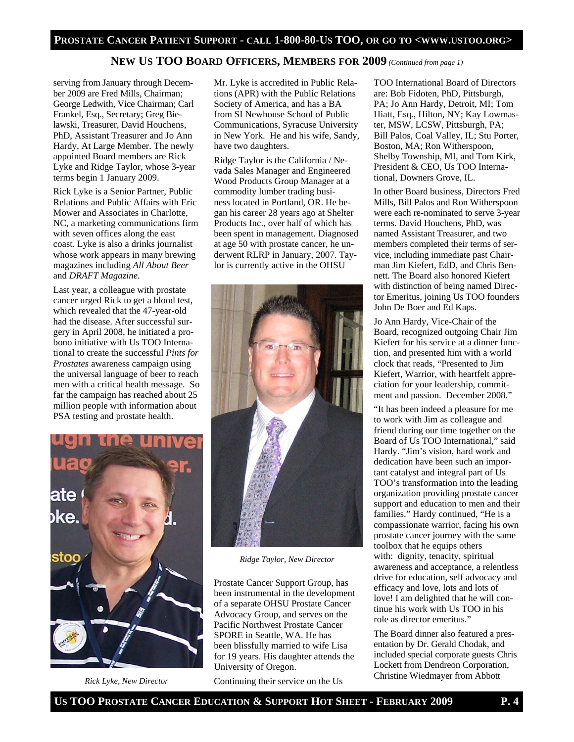#### **PROSTATE CANCER PATIENT SUPPORT - CALL 1-800-80-US TOO, OR GO TO <WWW.USTOO.ORG>**

#### **NEW US TOO BOARD OFFICERS, MEMBERS FOR 2009** *(Continued from page 1)*

serving from January through December 2009 are Fred Mills, Chairman; George Ledwith, Vice Chairman; Carl Frankel, Esq., Secretary; Greg Bielawski, Treasurer, David Houchens, PhD, Assistant Treasurer and Jo Ann Hardy, At Large Member. The newly appointed Board members are Rick Lyke and Ridge Taylor, whose 3-year terms begin 1 January 2009.

Rick Lyke is a Senior Partner, Public Relations and Public Affairs with Eric Mower and Associates in Charlotte, NC, a marketing communications firm with seven offices along the east coast. Lyke is also a drinks journalist whose work appears in many brewing magazines including *All About Beer*  and *DRAFT Magazine*.

Last year, a colleague with prostate cancer urged Rick to get a blood test, which revealed that the 47-year-old had the disease. After successful surgery in April 2008, he initiated a probono initiative with Us TOO International to create the successful *Pints for Prostates* awareness campaign using the universal language of beer to reach men with a critical health message. So far the campaign has reached about 25 million people with information about PSA testing and prostate health.

Mr. Lyke is accredited in Public Relations (APR) with the Public Relations Society of America, and has a BA from SI Newhouse School of Public Communications, Syracuse University in New York. He and his wife, Sandy, have two daughters.

Ridge Taylor is the California / Nevada Sales Manager and Engineered Wood Products Group Manager at a commodity lumber trading business located in Portland, OR. He began his career 28 years ago at Shelter Products Inc., over half of which has been spent in management. Diagnosed at age 50 with prostate cancer, he underwent RLRP in January, 2007. Taylor is currently active in the OHSU



*Ridge Taylor, New Director* 

Prostate Cancer Support Group, has been instrumental in the development of a separate OHSU Prostate Cancer Advocacy Group, and serves on the Pacific Northwest Prostate Cancer SPORE in Seattle, WA. He has been blissfully married to wife Lisa for 19 years. His daughter attends the University of Oregon.

Continuing their service on the Us

TOO International Board of Directors are: Bob Fidoten, PhD, Pittsburgh, PA; Jo Ann Hardy, Detroit, MI; Tom Hiatt, Esq., Hilton, NY; Kay Lowmaster, MSW, LCSW, Pittsburgh, PA; Bill Palos, Coal Valley, IL; Stu Porter, Boston, MA; Ron Witherspoon, Shelby Township, MI, and Tom Kirk, President & CEO, Us TOO International, Downers Grove, IL.

In other Board business, Directors Fred Mills, Bill Palos and Ron Witherspoon were each re-nominated to serve 3-year terms. David Houchens, PhD, was named Assistant Treasurer, and two members completed their terms of service, including immediate past Chairman Jim Kiefert, EdD, and Chris Bennett. The Board also honored Kiefert with distinction of being named Director Emeritus, joining Us TOO founders John De Boer and Ed Kaps.

Jo Ann Hardy, Vice-Chair of the Board, recognized outgoing Chair Jim Kiefert for his service at a dinner function, and presented him with a world clock that reads, "Presented to Jim Kiefert, Warrior, with heartfelt appreciation for your leadership, commitment and passion. December 2008."

"It has been indeed a pleasure for me to work with Jim as colleague and friend during our time together on the Board of Us TOO International," said Hardy. "Jim's vision, hard work and dedication have been such an important catalyst and integral part of Us TOO's transformation into the leading organization providing prostate cancer support and education to men and their families." Hardy continued, "He is a compassionate warrior, facing his own prostate cancer journey with the same toolbox that he equips others with: dignity, tenacity, spiritual awareness and acceptance, a relentless drive for education, self advocacy and efficacy and love, lots and lots of love! I am delighted that he will continue his work with Us TOO in his role as director emeritus."

The Board dinner also featured a presentation by Dr. Gerald Chodak, and included special corporate guests Chris Lockett from Dendreon Corporation, Christine Wiedmayer from Abbott



*Rick Lyke, New Director*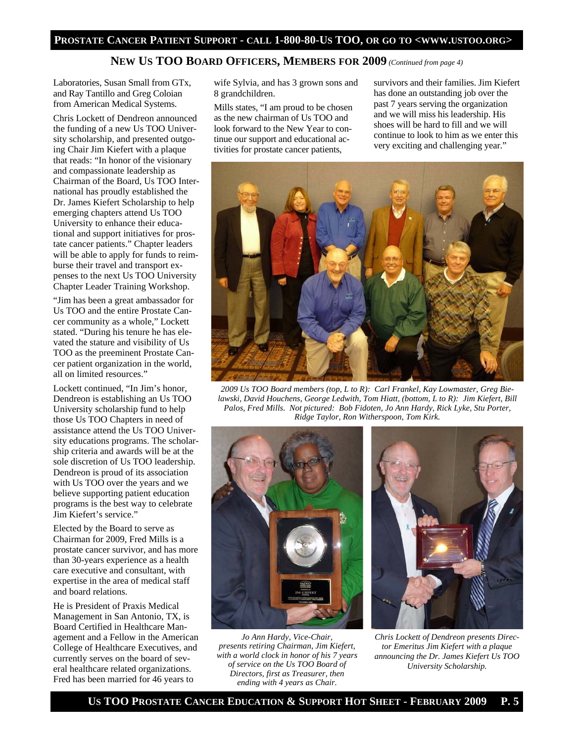### **NEW US TOO BOARD OFFICERS, MEMBERS FOR 2009** *(Continued from page 4)*

Laboratories, Susan Small from GTx, and Ray Tantillo and Greg Coloian from American Medical Systems.

Chris Lockett of Dendreon announced the funding of a new Us TOO University scholarship, and presented outgoing Chair Jim Kiefert with a plaque that reads: "In honor of the visionary and compassionate leadership as Chairman of the Board, Us TOO International has proudly established the Dr. James Kiefert Scholarship to help emerging chapters attend Us TOO University to enhance their educational and support initiatives for prostate cancer patients." Chapter leaders will be able to apply for funds to reimburse their travel and transport expenses to the next Us TOO University Chapter Leader Training Workshop.

"Jim has been a great ambassador for Us TOO and the entire Prostate Cancer community as a whole," Lockett stated. "During his tenure he has elevated the stature and visibility of Us TOO as the preeminent Prostate Cancer patient organization in the world, all on limited resources."

Lockett continued, "In Jim's honor, Dendreon is establishing an Us TOO University scholarship fund to help those Us TOO Chapters in need of assistance attend the Us TOO University educations programs. The scholarship criteria and awards will be at the sole discretion of Us TOO leadership. Dendreon is proud of its association with Us TOO over the years and we believe supporting patient education programs is the best way to celebrate Jim Kiefert's service."

Elected by the Board to serve as Chairman for 2009, Fred Mills is a prostate cancer survivor, and has more than 30-years experience as a health care executive and consultant, with expertise in the area of medical staff and board relations.

He is President of Praxis Medical Management in San Antonio, TX, is Board Certified in Healthcare Management and a Fellow in the American College of Healthcare Executives, and currently serves on the board of several healthcare related organizations. Fred has been married for 46 years to

wife Sylvia, and has 3 grown sons and 8 grandchildren.

Mills states, "I am proud to be chosen as the new chairman of Us TOO and look forward to the New Year to continue our support and educational activities for prostate cancer patients,

survivors and their families. Jim Kiefert has done an outstanding job over the past 7 years serving the organization and we will miss his leadership. His shoes will be hard to fill and we will continue to look to him as we enter this very exciting and challenging year."



*2009 Us TOO Board members (top, L to R): Carl Frankel, Kay Lowmaster, Greg Bielawski, David Houchens, George Ledwith, Tom Hiatt, (bottom, L to R): Jim Kiefert, Bill Palos, Fred Mills. Not pictured: Bob Fidoten, Jo Ann Hardy, Rick Lyke, Stu Porter, Ridge Taylor, Ron Witherspoon, Tom Kirk.* 



*Jo Ann Hardy, Vice-Chair, presents retiring Chairman, Jim Kiefert, with a world clock in honor of his 7 years of service on the Us TOO Board of Directors, first as Treasurer, then ending with 4 years as Chair.* 



*Chris Lockett of Dendreon presents Director Emeritus Jim Kiefert with a plaque announcing the Dr. James Kiefert Us TOO University Scholarship.*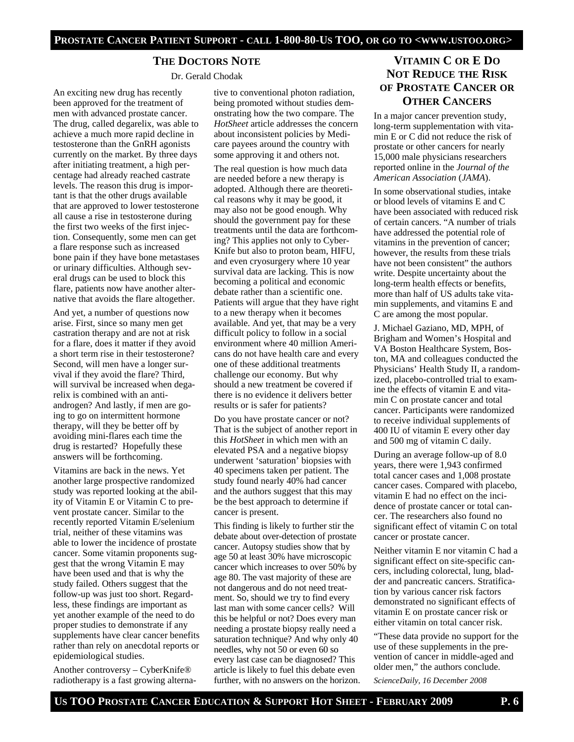### **THE DOCTORS NOTE**

Dr. Gerald Chodak

An exciting new drug has recently been approved for the treatment of men with advanced prostate cancer. The drug, called degarelix, was able to achieve a much more rapid decline in testosterone than the GnRH agonists currently on the market. By three days after initiating treatment, a high percentage had already reached castrate levels. The reason this drug is important is that the other drugs available that are approved to lower testosterone all cause a rise in testosterone during the first two weeks of the first injection. Consequently, some men can get a flare response such as increased bone pain if they have bone metastases or urinary difficulties. Although several drugs can be used to block this flare, patients now have another alternative that avoids the flare altogether.

And yet, a number of questions now arise. First, since so many men get castration therapy and are not at risk for a flare, does it matter if they avoid a short term rise in their testosterone? Second, will men have a longer survival if they avoid the flare? Third, will survival be increased when degarelix is combined with an antiandrogen? And lastly, if men are going to go on intermittent hormone therapy, will they be better off by avoiding mini-flares each time the drug is restarted? Hopefully these answers will be forthcoming.

Vitamins are back in the news. Yet another large prospective randomized study was reported looking at the ability of Vitamin E or Vitamin C to prevent prostate cancer. Similar to the recently reported Vitamin E/selenium trial, neither of these vitamins was able to lower the incidence of prostate cancer. Some vitamin proponents suggest that the wrong Vitamin E may have been used and that is why the study failed. Others suggest that the follow-up was just too short. Regardless, these findings are important as yet another example of the need to do proper studies to demonstrate if any supplements have clear cancer benefits rather than rely on anecdotal reports or epidemiological studies.

Another controversy – CyberKnife® radiotherapy is a fast growing alterna-

tive to conventional photon radiation, being promoted without studies demonstrating how the two compare. The *HotSheet* article addresses the concern about inconsistent policies by Medicare payees around the country with some approving it and others not.

The real question is how much data are needed before a new therapy is adopted. Although there are theoretical reasons why it may be good, it may also not be good enough. Why should the government pay for these treatments until the data are forthcoming? This applies not only to Cyber-Knife but also to proton beam, HIFU, and even cryosurgery where 10 year survival data are lacking. This is now becoming a political and economic debate rather than a scientific one. Patients will argue that they have right to a new therapy when it becomes available. And yet, that may be a very difficult policy to follow in a social environment where 40 million Americans do not have health care and every one of these additional treatments challenge our economy. But why should a new treatment be covered if there is no evidence it delivers better results or is safer for patients?

Do you have prostate cancer or not? That is the subject of another report in this *HotSheet* in which men with an elevated PSA and a negative biopsy underwent 'saturation' biopsies with 40 specimens taken per patient. The study found nearly 40% had cancer and the authors suggest that this may be the best approach to determine if cancer is present.

This finding is likely to further stir the debate about over-detection of prostate cancer. Autopsy studies show that by age 50 at least 30% have microscopic cancer which increases to over 50% by age 80. The vast majority of these are not dangerous and do not need treatment. So, should we try to find every last man with some cancer cells? Will this be helpful or not? Does every man needing a prostate biopsy really need a saturation technique? And why only 40 needles, why not 50 or even 60 so every last case can be diagnosed? This article is likely to fuel this debate even further, with no answers on the horizon.

## **VITAMIN C OR E DO NOT REDUCE THE RISK OF PROSTATE CANCER OR OTHER CANCERS**

In a major cancer prevention study, long-term supplementation with vitamin E or C did not reduce the risk of prostate or other cancers for nearly 15,000 male physicians researchers reported online in the *Journal of the American Association* (*JAMA*).

In some observational studies, intake or blood levels of vitamins E and C have been associated with reduced risk of certain cancers. "A number of trials have addressed the potential role of vitamins in the prevention of cancer; however, the results from these trials have not been consistent" the authors write. Despite uncertainty about the long-term health effects or benefits, more than half of US adults take vitamin supplements, and vitamins E and C are among the most popular.

J. Michael Gaziano, MD, MPH, of Brigham and Women's Hospital and VA Boston Healthcare System, Boston, MA and colleagues conducted the Physicians' Health Study II, a randomized, placebo-controlled trial to examine the effects of vitamin E and vitamin C on prostate cancer and total cancer. Participants were randomized to receive individual supplements of 400 IU of vitamin E every other day and 500 mg of vitamin C daily.

During an average follow-up of 8.0 years, there were 1,943 confirmed total cancer cases and 1,008 prostate cancer cases. Compared with placebo, vitamin E had no effect on the incidence of prostate cancer or total cancer. The researchers also found no significant effect of vitamin C on total cancer or prostate cancer.

Neither vitamin E nor vitamin C had a significant effect on site-specific cancers, including colorectal, lung, bladder and pancreatic cancers. Stratification by various cancer risk factors demonstrated no significant effects of vitamin E on prostate cancer risk or either vitamin on total cancer risk.

"These data provide no support for the use of these supplements in the prevention of cancer in middle-aged and older men," the authors conclude. *ScienceDaily, 16 December 2008*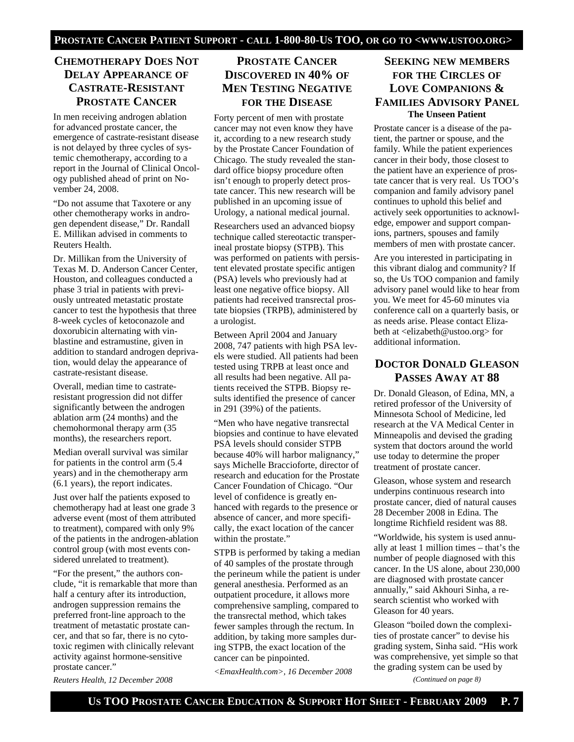## **CHEMOTHERAPY DOES NOT DELAY APPEARANCE OF CASTRATE-RESISTANT PROSTATE CANCER**

In men receiving androgen ablation for advanced prostate cancer, the emergence of castrate-resistant disease is not delayed by three cycles of systemic chemotherapy, according to a report in the Journal of Clinical Oncology published ahead of print on November 24, 2008.

"Do not assume that Taxotere or any other chemotherapy works in androgen dependent disease," Dr. Randall E. Millikan advised in comments to Reuters Health.

Dr. Millikan from the University of Texas M. D. Anderson Cancer Center, Houston, and colleagues conducted a phase 3 trial in patients with previously untreated metastatic prostate cancer to test the hypothesis that three 8-week cycles of ketoconazole and doxorubicin alternating with vinblastine and estramustine, given in addition to standard androgen deprivation, would delay the appearance of castrate-resistant disease.

Overall, median time to castrateresistant progression did not differ significantly between the androgen ablation arm (24 months) and the chemohormonal therapy arm (35 months), the researchers report.

Median overall survival was similar for patients in the control arm (5.4 years) and in the chemotherapy arm (6.1 years), the report indicates.

Just over half the patients exposed to chemotherapy had at least one grade 3 adverse event (most of them attributed to treatment), compared with only 9% of the patients in the androgen-ablation control group (with most events considered unrelated to treatment).

"For the present," the authors conclude, "it is remarkable that more than half a century after its introduction, androgen suppression remains the preferred front-line approach to the treatment of metastatic prostate cancer, and that so far, there is no cytotoxic regimen with clinically relevant activity against hormone-sensitive prostate cancer."

*Reuters Health, 12 December 2008* 

## **PROSTATE CANCER DISCOVERED IN 40% OF MEN TESTING NEGATIVE FOR THE DISEASE**

Forty percent of men with prostate cancer may not even know they have it, according to a new research study by the Prostate Cancer Foundation of Chicago. The study revealed the standard office biopsy procedure often isn't enough to properly detect prostate cancer. This new research will be published in an upcoming issue of Urology, a national medical journal.

Researchers used an advanced biopsy technique called stereotactic transperineal prostate biopsy (STPB). This was performed on patients with persistent elevated prostate specific antigen (PSA) levels who previously had at least one negative office biopsy. All patients had received transrectal prostate biopsies (TRPB), administered by a urologist.

Between April 2004 and January 2008, 747 patients with high PSA levels were studied. All patients had been tested using TRPB at least once and all results had been negative. All patients received the STPB. Biopsy results identified the presence of cancer in 291 (39%) of the patients.

"Men who have negative transrectal biopsies and continue to have elevated PSA levels should consider STPB because 40% will harbor malignancy," says Michelle Braccioforte, director of research and education for the Prostate Cancer Foundation of Chicago. "Our level of confidence is greatly enhanced with regards to the presence or absence of cancer, and more specifically, the exact location of the cancer within the prostate."

STPB is performed by taking a median of 40 samples of the prostate through the perineum while the patient is under general anesthesia. Performed as an outpatient procedure, it allows more comprehensive sampling, compared to the transrectal method, which takes fewer samples through the rectum. In addition, by taking more samples during STPB, the exact location of the cancer can be pinpointed.

*<EmaxHealth.com>, 16 December 2008* 

## **SEEKING NEW MEMBERS FOR THE CIRCLES OF LOVE COMPANIONS & FAMILIES ADVISORY PANEL The Unseen Patient**

Prostate cancer is a disease of the patient, the partner or spouse, and the family. While the patient experiences cancer in their body, those closest to the patient have an experience of prostate cancer that is very real. Us TOO's companion and family advisory panel continues to uphold this belief and actively seek opportunities to acknowledge, empower and support companions, partners, spouses and family members of men with prostate cancer.

Are you interested in participating in this vibrant dialog and community? If so, the Us TOO companion and family advisory panel would like to hear from you. We meet for 45-60 minutes via conference call on a quarterly basis, or as needs arise. Please contact Elizabeth at <elizabeth@ustoo.org> for additional information.

## **DOCTOR DONALD GLEASON PASSES AWAY AT 88**

Dr. Donald Gleason, of Edina, MN, a retired professor of the University of Minnesota School of Medicine, led research at the VA Medical Center in Minneapolis and devised the grading system that doctors around the world use today to determine the proper treatment of prostate cancer.

Gleason, whose system and research underpins continuous research into prostate cancer, died of natural causes 28 December 2008 in Edina. The longtime Richfield resident was 88.

"Worldwide, his system is used annually at least 1 million times – that's the number of people diagnosed with this cancer. In the US alone, about 230,000 are diagnosed with prostate cancer annually," said Akhouri Sinha, a research scientist who worked with Gleason for 40 years.

Gleason "boiled down the complexities of prostate cancer" to devise his grading system, Sinha said. "His work was comprehensive, yet simple so that the grading system can be used by *(Continued on page 8)*